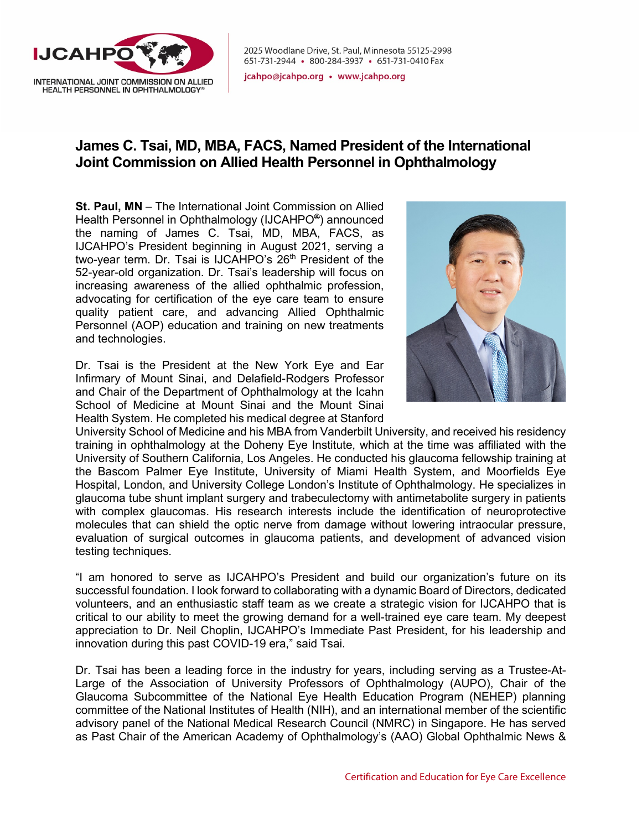

2025 Woodlane Drive, St. Paul, Minnesota 55125-2998 651-731-2944 • 800-284-3937 • 651-731-0410 Fax

jcahpo@jcahpo.org • www.jcahpo.org

## **James C. Tsai, MD, MBA, FACS, Named President of the International Joint Commission on Allied Health Personnel in Ophthalmology**

**St. Paul, MN** – The International Joint Commission on Allied Health Personnel in Ophthalmology (IJCAHPO®) announced the naming of James C. Tsai, MD, MBA, FACS, as IJCAHPO's President beginning in August 2021, serving a two-year term. Dr. Tsai is IJCAHPO's 26<sup>th</sup> President of the 52-year-old organization. Dr. Tsai's leadership will focus on increasing awareness of the allied ophthalmic profession, advocating for certification of the eye care team to ensure quality patient care, and advancing Allied Ophthalmic Personnel (AOP) education and training on new treatments and technologies.

Dr. Tsai is the President at the New York Eye and Ear Infirmary of Mount Sinai, and Delafield-Rodgers Professor and Chair of the Department of Ophthalmology at the Icahn School of Medicine at Mount Sinai and the Mount Sinai Health System. He completed his medical degree at Stanford



University School of Medicine and his MBA from Vanderbilt University, and received his residency training in ophthalmology at the Doheny Eye Institute, which at the time was affiliated with the University of Southern California, Los Angeles. He conducted his glaucoma fellowship training at the Bascom Palmer Eye Institute, University of Miami Health System, and Moorfields Eye Hospital, London, and University College London's Institute of Ophthalmology. He specializes in glaucoma tube shunt implant surgery and trabeculectomy with antimetabolite surgery in patients with complex glaucomas. His research interests include the identification of neuroprotective molecules that can shield the optic nerve from damage without lowering intraocular pressure, evaluation of surgical outcomes in glaucoma patients, and development of advanced vision testing techniques.

"I am honored to serve as IJCAHPO's President and build our organization's future on its successful foundation. I look forward to collaborating with a dynamic Board of Directors, dedicated volunteers, and an enthusiastic staff team as we create a strategic vision for IJCAHPO that is critical to our ability to meet the growing demand for a well-trained eye care team. My deepest appreciation to Dr. Neil Choplin, IJCAHPO's Immediate Past President, for his leadership and innovation during this past COVID-19 era," said Tsai.

Dr. Tsai has been a leading force in the industry for years, including serving as a Trustee-At-Large of the Association of University Professors of Ophthalmology (AUPO), Chair of the Glaucoma Subcommittee of the National Eye Health Education Program (NEHEP) planning committee of the National Institutes of Health (NIH), and an international member of the scientific advisory panel of the National Medical Research Council (NMRC) in Singapore. He has served as Past Chair of the American Academy of Ophthalmology's (AAO) Global Ophthalmic News &